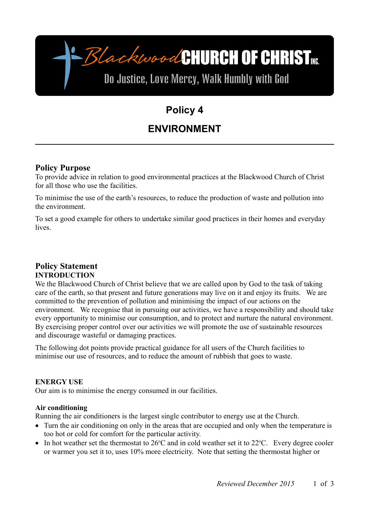-BlackwoodCHURCH OF CHRIST

# Do Justice, Love Mercy, Walk Humbly with God

# **Policy 4**

# **ENVIRONMENT**

# **Policy Purpose**

To provide advice in relation to good environmental practices at the Blackwood Church of Christ for all those who use the facilities.

To minimise the use of the earth's resources, to reduce the production of waste and pollution into the environment.

To set a good example for others to undertake similar good practices in their homes and everyday lives.

# **Policy Statement INTRODUCTION**

We the Blackwood Church of Christ believe that we are called upon by God to the task of taking care of the earth, so that present and future generations may live on it and enjoy its fruits. We are committed to the prevention of pollution and minimising the impact of our actions on the environment. We recognise that in pursuing our activities, we have a responsibility and should take every opportunity to minimise our consumption, and to protect and nurture the natural environment. By exercising proper control over our activities we will promote the use of sustainable resources and discourage wasteful or damaging practices.

The following dot points provide practical guidance for all users of the Church facilities to minimise our use of resources, and to reduce the amount of rubbish that goes to waste.

# **ENERGY USE**

Our aim is to minimise the energy consumed in our facilities.

# **Air conditioning**

Running the air conditioners is the largest single contributor to energy use at the Church.

- Turn the air conditioning on only in the areas that are occupied and only when the temperature is too hot or cold for comfort for the particular activity.
- In hot weather set the thermostat to  $26^{\circ}$ C and in cold weather set it to  $22^{\circ}$ C. Every degree cooler or warmer you set it to, uses 10% more electricity. Note that setting the thermostat higher or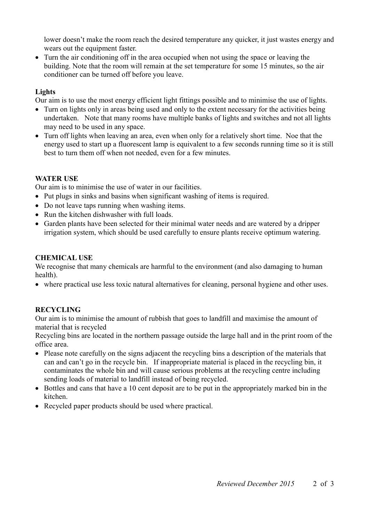lower doesn't make the room reach the desired temperature any quicker, it just wastes energy and wears out the equipment faster.

 Turn the air conditioning off in the area occupied when not using the space or leaving the building. Note that the room will remain at the set temperature for some 15 minutes, so the air conditioner can be turned off before you leave.

### **Lights**

Our aim is to use the most energy efficient light fittings possible and to minimise the use of lights.

- Turn on lights only in areas being used and only to the extent necessary for the activities being undertaken. Note that many rooms have multiple banks of lights and switches and not all lights may need to be used in any space.
- Turn off lights when leaving an area, even when only for a relatively short time. Noe that the energy used to start up a fluorescent lamp is equivalent to a few seconds running time so it is still best to turn them off when not needed, even for a few minutes.

# **WATER USE**

Our aim is to minimise the use of water in our facilities.

- Put plugs in sinks and basins when significant washing of items is required.
- Do not leave taps running when washing items.
- Run the kitchen dishwasher with full loads.
- Garden plants have been selected for their minimal water needs and are watered by a dripper irrigation system, which should be used carefully to ensure plants receive optimum watering.

#### **CHEMICAL USE**

We recognise that many chemicals are harmful to the environment (and also damaging to human health).

where practical use less toxic natural alternatives for cleaning, personal hygiene and other uses.

# **RECYCLING**

Our aim is to minimise the amount of rubbish that goes to landfill and maximise the amount of material that is recycled

Recycling bins are located in the northern passage outside the large hall and in the print room of the office area.

- Please note carefully on the signs adjacent the recycling bins a description of the materials that can and can't go in the recycle bin. If inappropriate material is placed in the recycling bin, it contaminates the whole bin and will cause serious problems at the recycling centre including sending loads of material to landfill instead of being recycled.
- Bottles and cans that have a 10 cent deposit are to be put in the appropriately marked bin in the kitchen.
- Recycled paper products should be used where practical.